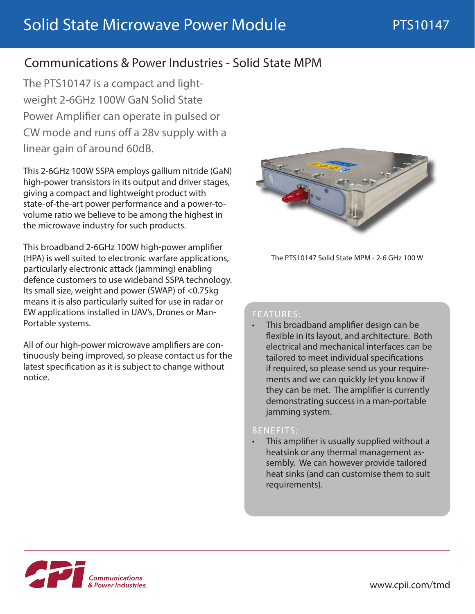# Communications & Power Industries - Solid State MPM

The PTS10147 is a compact and lightweight 2-6GHz 100W GaN Solid State Power Amplifier can operate in pulsed or CW mode and runs off a 28v supply with a linear gain of around 60dB.

This 2-6GHz 100W SSPA employs gallium nitride (GaN) high-power transistors in its output and driver stages, giving a compact and lightweight product with state-of-the-art power performance and a power-tovolume ratio we believe to be among the highest in the microwave industry for such products.

This broadband 2-6GHz 100W high-power amplifier (HPA) is well suited to electronic warfare applications, particularly electronic attack (jamming) enabling defence customers to use wideband SSPA technology. Its small size, weight and power (SWAP) of <0.75kg means it is also particularly suited for use in radar or EW applications installed in UAV's, Drones or Man-Portable systems.

All of our high-power microwave amplifiers are continuously being improved, so please contact us for the latest specification as it is subject to change without notice.



The PTS10147 Solid State MPM - 2-6 GHz 100 W

#### FEATURES:

• This broadband amplifier design can be flexible in its layout, and architecture. Both electrical and mechanical interfaces can be tailored to meet individual specifications if required, so please send us your requirements and we can quickly let you know if they can be met. The amplifier is currently demonstrating success in a man-portable jamming system.

#### BENEFITS:

• This amplifier is usually supplied without a heatsink or any thermal management assembly. We can however provide tailored heat sinks (and can customise them to suit requirements).

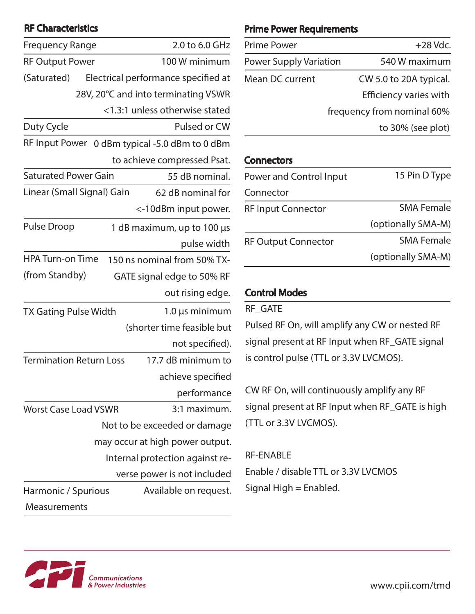## RF Characteristics

| <b>Frequency Range</b>                                   | 2.0 to 6.0 GHz                      |  |
|----------------------------------------------------------|-------------------------------------|--|
| <b>RF Output Power</b>                                   | 100 W minimum                       |  |
| (Saturated)                                              | Electrical performance specified at |  |
|                                                          | 28V, 20°C and into terminating VSWR |  |
|                                                          |                                     |  |
|                                                          | <1.3:1 unless otherwise stated      |  |
| Duty Cycle                                               | Pulsed or CW                        |  |
| <b>RF Input Power</b><br>0 dBm typical -5.0 dBm to 0 dBm |                                     |  |
|                                                          | to achieve compressed Psat.         |  |
| <b>Saturated Power Gain</b>                              | 55 dB nominal.                      |  |
| Linear (Small Signal) Gain                               | 62 dB nominal for                   |  |
|                                                          | <-10dBm input power.                |  |
| <b>Pulse Droop</b>                                       | 1 dB maximum, up to 100 µs          |  |
|                                                          | pulse width                         |  |
| <b>HPA Turn-on Time</b>                                  | 150 ns nominal from 50% TX-         |  |
| (from Standby)                                           | GATE signal edge to 50% RF          |  |
|                                                          | out rising edge.                    |  |
| <b>TX Gating Pulse Width</b>                             | $1.0 \,\mu s$ minimum               |  |
|                                                          | (shorter time feasible but          |  |
|                                                          | not specified).                     |  |
| <b>Termination Return Loss</b>                           | 17.7 dB minimum to                  |  |
|                                                          | achieve specified                   |  |
|                                                          | performance                         |  |
| <b>Worst Case Load VSWR</b>                              | 3:1 maximum.                        |  |
| Not to be exceeded or damage                             |                                     |  |
| may occur at high power output.                          |                                     |  |
| Internal protection against re-                          |                                     |  |
|                                                          | verse power is not included         |  |
| Harmonic / Spurious                                      | Available on request.               |  |
| Measurements                                             |                                     |  |

### Prime Power Requirements

| <b>Prime Power</b>            | $+28$ Vdc.                    |
|-------------------------------|-------------------------------|
| <b>Power Supply Variation</b> | 540 W maximum                 |
| Mean DC current               | CW 5.0 to 20A typical.        |
|                               | <b>Efficiency varies with</b> |
|                               | frequency from nominal 60%    |
|                               | to 30% (see plot)             |

## **Connectors**

| Power and Control Input    | 15 Pin D Type      |
|----------------------------|--------------------|
| Connector                  |                    |
| <b>RF Input Connector</b>  | <b>SMA Female</b>  |
|                            | (optionally SMA-M) |
| <b>RF Output Connector</b> | <b>SMA Female</b>  |
|                            | (optionally SMA-M) |

## Control Modes

RF\_GATE

Pulsed RF On, will amplify any CW or nested RF signal present at RF Input when RF\_GATE signal is control pulse (TTL or 3.3V LVCMOS).

CW RF On, will continuously amplify any RF signal present at RF Input when RF\_GATE is high (TTL or 3.3V LVCMOS).

## RF-ENABLE

Enable / disable TTL or 3.3V LVCMOS Signal High = Enabled.

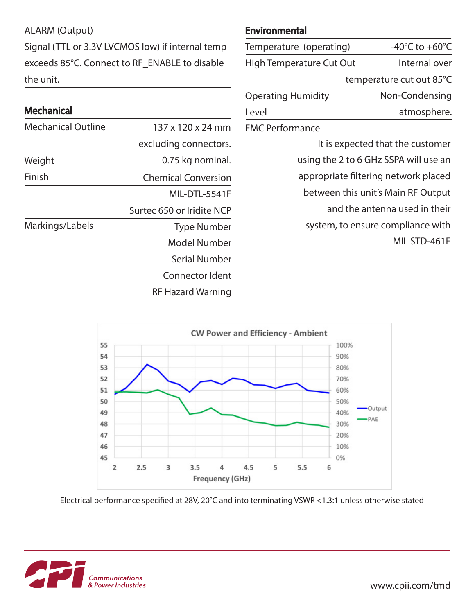ALARM (Output)

Signal (TTL or 3.3V LVCMOS low) if internal temp exceeds 85°C. Connect to RF\_ENABLE to disable the unit.

## Mechanical

| <b>Mechanical Outline</b> | 137 x 120 x 24 mm          |
|---------------------------|----------------------------|
|                           | excluding connectors.      |
| Weight                    | 0.75 kg nominal.           |
| Finish                    | <b>Chemical Conversion</b> |
|                           | MIL-DTL-5541F              |
|                           | Surtec 650 or Iridite NCP  |
| Markings/Labels           | <b>Type Number</b>         |
|                           | Model Number               |
|                           | Serial Number              |
|                           | Connector Ident            |
|                           | <b>RF Hazard Warning</b>   |

#### Environmental

| Temperature (operating)               | -40 $^{\circ}$ C to +60 $^{\circ}$ C |  |
|---------------------------------------|--------------------------------------|--|
| High Temperature Cut Out              | Internal over                        |  |
|                                       | temperature cut out 85°C             |  |
| <b>Operating Humidity</b>             | Non-Condensing                       |  |
| Level                                 | atmosphere.                          |  |
| <b>EMC Performance</b>                |                                      |  |
| It is expected that the customer      |                                      |  |
| using the 2 to 6 GHz SSPA will use an |                                      |  |

appropriate filtering network placed between this unit's Main RF Output

and the antenna used in their

system, to ensure compliance with

MIL STD-461F



Electrical performance specified at 28V, 20°C and into terminating VSWR <1.3:1 unless otherwise stated



www.cpii.com/tmd